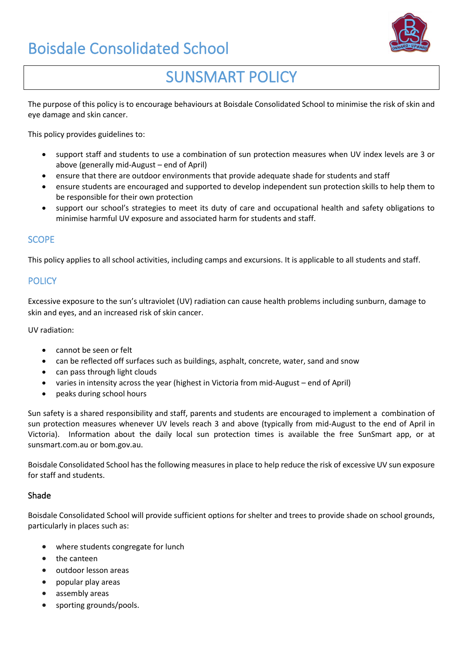# Boisdale Consolidated School



## SUNSMART POLICY

The purpose of this policy is to encourage behaviours at Boisdale Consolidated School to minimise the risk of skin and eye damage and skin cancer.

This policy provides guidelines to:

- support staff and students to use a combination of sun protection measures when UV index levels are 3 or above (generally mid-August – end of April)
- ensure that there are outdoor environments that provide adequate shade for students and staff
- ensure students are encouraged and supported to develop independent sun protection skills to help them to be responsible for their own protection
- support our school's strategies to meet its duty of care and occupational health and safety obligations to minimise harmful UV exposure and associated harm for students and staff.

#### **SCOPE**

This policy applies to all school activities, including camps and excursions. It is applicable to all students and staff.

#### **POLICY**

Excessive exposure to the sun's ultraviolet (UV) radiation can cause health problems including sunburn, damage to skin and eyes, and an increased risk of skin cancer.

UV radiation:

- cannot be seen or felt
- can be reflected off surfaces such as buildings, asphalt, concrete, water, sand and snow
- can pass through light clouds
- varies in intensity across the year (highest in Victoria from mid-August end of April)
- peaks during school hours

Sun safety is a shared responsibility and staff, parents and students are encouraged to implement a combination of sun protection measures whenever UV levels reach 3 and above (typically from mid-August to the end of April in Victoria). Information about the daily local sun protection times is available the free [SunSmart app,](http://www.sunsmart.com.au/tools/interactive-tools/free-sunsmart-app) or at [sunsmart.com.au](http://www.sunsmart.com.au/) or bom.gov.au.

Boisdale Consolidated School has the following measures in place to help reduce the risk of excessive UV sun exposure for staff and students.

#### Shade

Boisdale Consolidated School will provide sufficient options for shelter and trees to provide shade on school grounds, particularly in places such as:

- where students congregate for lunch
- the canteen
- outdoor lesson areas
- popular play areas
- assembly areas
- sporting grounds/pools.